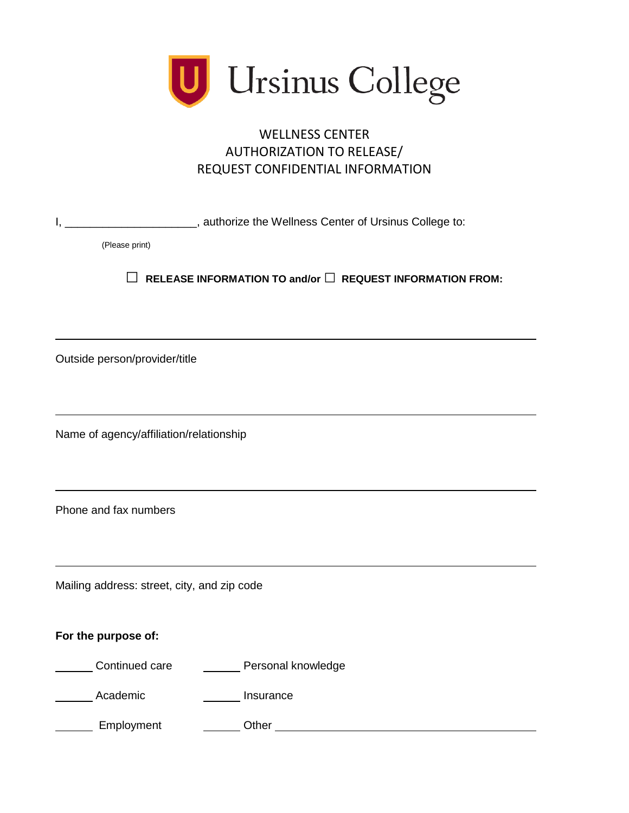

## AUTHORIZATION TO RELEASE/ WELLNESS CENTER REQUEST CONFIDENTIAL INFORMATION

| Ι,                                                                  | __________________, authorize the Wellness Center of Ursinus College to: |  |
|---------------------------------------------------------------------|--------------------------------------------------------------------------|--|
| (Please print)                                                      |                                                                          |  |
| RELEASE INFORMATION TO and/or $\Box$ REQUEST INFORMATION FROM:<br>Ш |                                                                          |  |
|                                                                     |                                                                          |  |
| Outside person/provider/title                                       |                                                                          |  |
|                                                                     |                                                                          |  |
| Name of agency/affiliation/relationship                             |                                                                          |  |
|                                                                     |                                                                          |  |
| Phone and fax numbers                                               |                                                                          |  |
|                                                                     |                                                                          |  |
| Mailing address: street, city, and zip code                         |                                                                          |  |
| For the purpose of:                                                 |                                                                          |  |
|                                                                     |                                                                          |  |
| Continued care                                                      | Personal knowledge                                                       |  |
| Academic                                                            | Insurance                                                                |  |
| Employment                                                          | Other $\overline{\phantom{a}}$                                           |  |